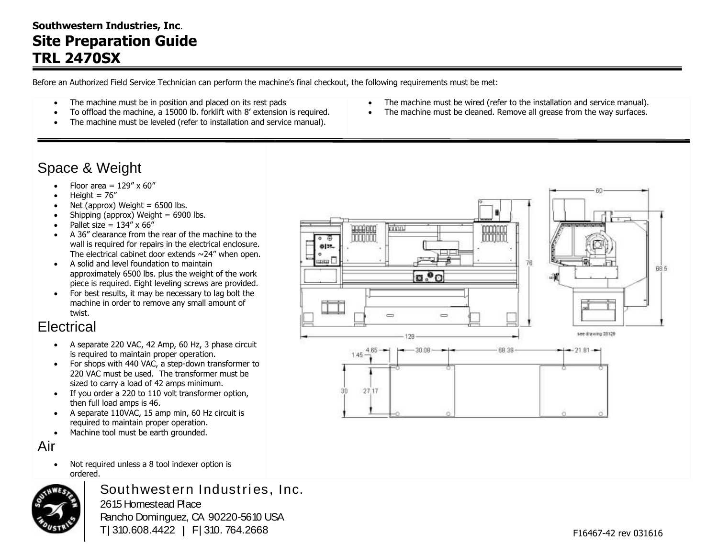#### **Southwestern Industries, Inc**. **Site Preparation Guide TRL 2470SX**

Before an Authorized Field Service Technician can perform the machine's final checkout, the following requirements must be met:

Ī

- The machine must be in position and placed on its rest pads
- To offload the machine, a 15000 lb. forklift with 8' extension is required.
- The machine must be leveled (refer to installation and service manual).

### Space & Weight

- Floor area =  $129'' \times 60''$
- Height =  $76''$
- Net (approx) Weight  $= 6500$  lbs.
- $\bullet$  Shipping (approx) Weight = 6900 lbs.
- Pallet size =  $134'' \times 66''$
- A 36" clearance from the rear of the machine to the wall is required for repairs in the electrical enclosure. The electrical cabinet door extends  $\sim$  24" when open.
- A solid and level foundation to maintain approximately 6500 lbs. plus the weight of the work piece is required. Eight leveling screws are provided.
- For best results, it may be necessary to lag bolt the machine in order to remove any small amount of twist.

# **Electrical**

- A separate 220 VAC, 42 Amp, 60 Hz, 3 phase circuit is required to maintain proper operation.
- For shops with 440 VAC, a step-down transformer to 220 VAC must be used. The transformer must be sized to carry a load of 42 amps minimum.
- If you order a 220 to 110 volt transformer option, then full load amps is 46.
- A separate 110VAC, 15 amp min, 60 Hz circuit is required to maintain proper operation.
- Machine tool must be earth grounded.

Air

• Not required unless a 8 tool indexer option is ordered.



Southwestern Industries, Inc. 2615 Homestead Place Rancho Dominguez, CA 90220-5610 USA T | 310.608.4422 **|** F | 310. 764.2668

- The machine must be wired (refer to the installation and service manual).
- The machine must be cleaned. Remove all grease from the way surfaces.